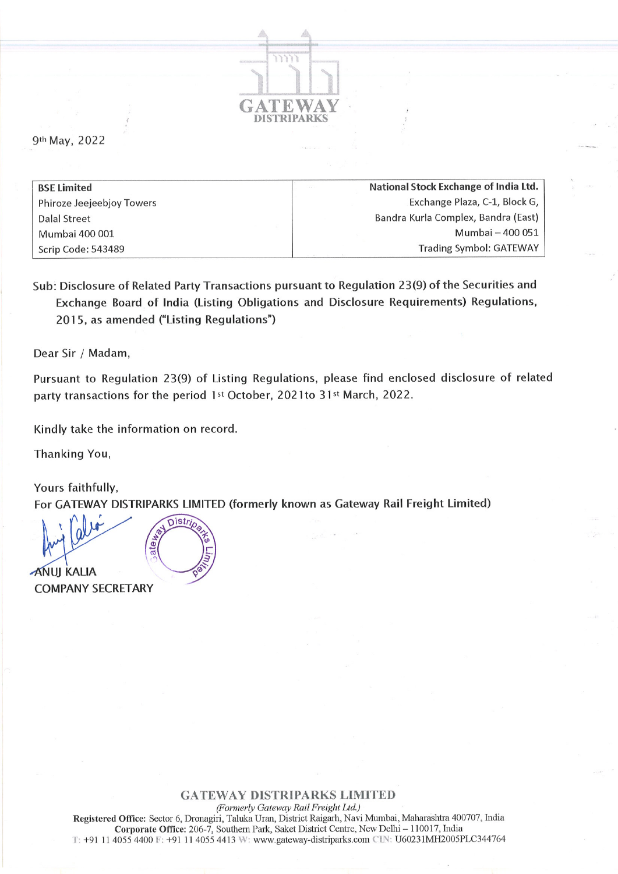

9th May, 2022

| <b>BSE Limited</b>        | National Stock Exchange of India Ltd. |
|---------------------------|---------------------------------------|
| Phiroze Jeejeebjoy Towers | Exchange Plaza, C-1, Block G,         |
| Dalal Street              | Bandra Kurla Complex, Bandra (East)   |
| Mumbai 400 001            | Mumbai - 400 051                      |
| Scrip Code: 543489        | <b>Trading Symbol: GATEWAY</b>        |

Sub: Disclosure of Related Party Transactions pursuant to Regulation 23(9) of the Securities and Exchange Board of India (Listing Obligations and Disclosure Requirements) Regulations, 2015, as amended ("Listing Regulations")

Dear Sir / Madam,

Pursuant to Regulation 23(9) of Listing Regulations, please find enclosed disclosure of related party transactions for the period 1st October, 2021to 31st March, 2022.

Kindly take the information on record.

Thanking You,

Yours faithfully, For GATEWAY DISTRIPARKS LIMITED (formerly known as Gateway Rail Freight Limited)

e<br>ea **ANUI KALIA** COMPANY SECRETARY

GATEWAY DISTRIPARKS LIMITED

(Formerly Gateway Rail Freight Ltd.) Registered Ofüce: Sector 6, Dronagiri, Taluka Uran, Distict Raigarh, Navi Mumbai, Maharashtra 400707, India Corporate Office: 206-7, Southern Park, Saket District Centre, New Delhi - 110017, India  $T: +91$  11 4055 4400  $F: +91$  11 4055 4413 W: www.gateway-distriparks.com  $\text{CIN}: \text{U}60231\text{MH}2005\text{PL}C344764$